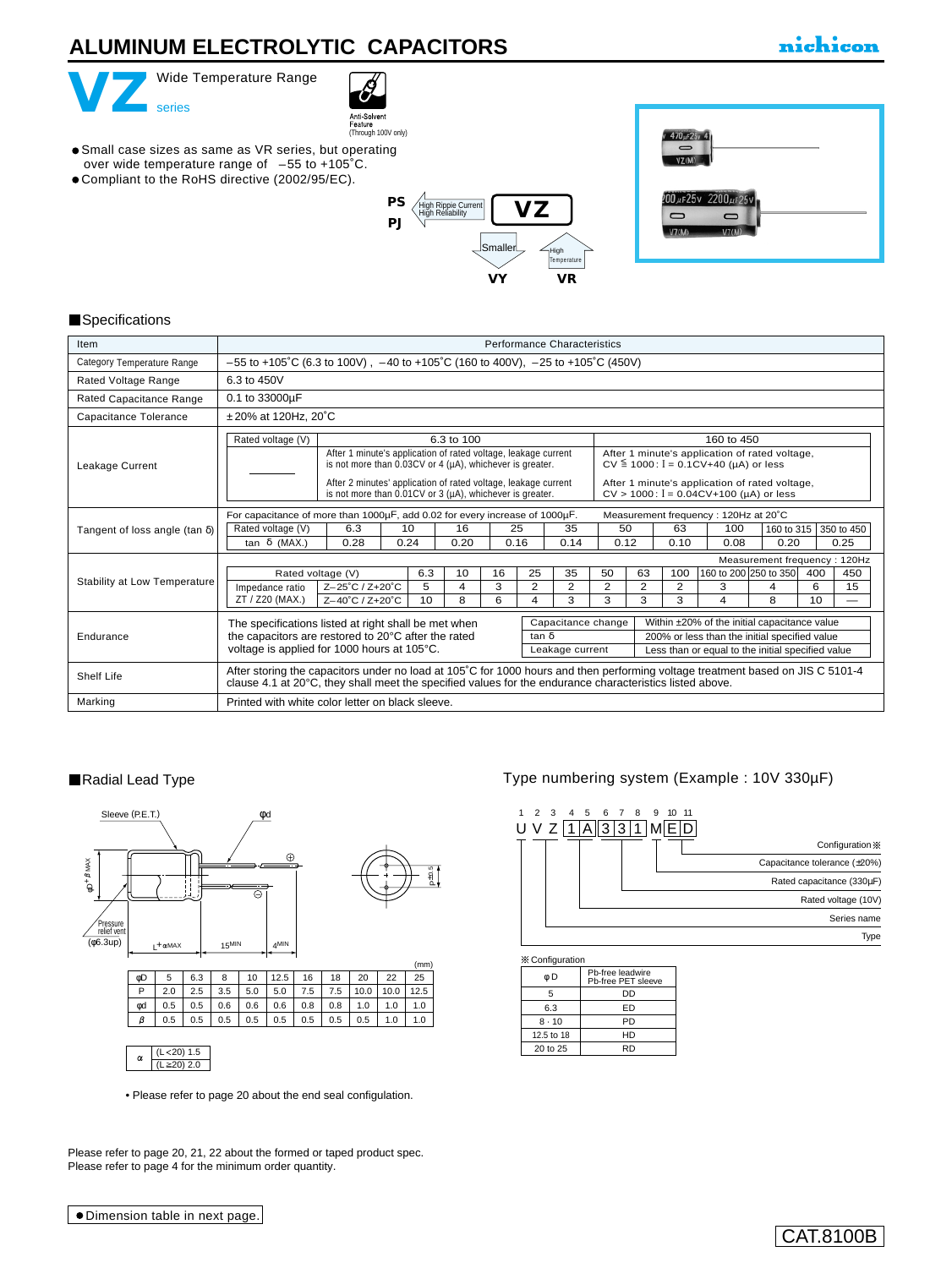# **ALUMINUM ELECTROLYTIC CAPACITORS**

# nichicon



Compliant to the RoHS directive (2002/95/EC).



Anti-Solvent<br>Feature (Through 100V only)  $470<sub>µ</sub>$ F25v 4  $\overline{\phantom{a}}$ Small case sizes as same as VR series, but operating  $VZ(M)$ over wide temperature range of –55 to +105˚C. 2200 µF 25V **[PS](e-ps.pdf)**  $30 \mu$ F $25v$ **VZ** High Rippie Current High Reliability  $\overline{\phantom{0}}$  $\cup$ **[PJ](e-pj.pdf)**  $V7/84$ Smaller High **Temperature [VR](e-vr.pdf) [VY](e-vy.pdf)**

#### **Specifications**

| Item                                  | <b>Performance Characteristics</b>                                                                                                                                                                                                                                                                                                                                                                                                                                         |  |  |  |  |  |  |  |  |  |  |
|---------------------------------------|----------------------------------------------------------------------------------------------------------------------------------------------------------------------------------------------------------------------------------------------------------------------------------------------------------------------------------------------------------------------------------------------------------------------------------------------------------------------------|--|--|--|--|--|--|--|--|--|--|
| Category Temperature Range            | $-55$ to +105°C (6.3 to 100V), $-40$ to +105°C (160 to 400V), $-25$ to +105°C (450V)                                                                                                                                                                                                                                                                                                                                                                                       |  |  |  |  |  |  |  |  |  |  |
| Rated Voltage Range                   | 6.3 to 450V                                                                                                                                                                                                                                                                                                                                                                                                                                                                |  |  |  |  |  |  |  |  |  |  |
| Rated Capacitance Range               | 0.1 to 33000µF                                                                                                                                                                                                                                                                                                                                                                                                                                                             |  |  |  |  |  |  |  |  |  |  |
| Capacitance Tolerance                 | $±20\%$ at 120Hz, 20 $°C$                                                                                                                                                                                                                                                                                                                                                                                                                                                  |  |  |  |  |  |  |  |  |  |  |
|                                       | 160 to 450<br>Rated voltage (V)<br>6.3 to 100                                                                                                                                                                                                                                                                                                                                                                                                                              |  |  |  |  |  |  |  |  |  |  |
| Leakage Current                       | After 1 minute's application of rated voltage,<br>After 1 minute's application of rated voltage, leakage current<br>$CV \le 1000$ : $I = 0.1CV+40$ (µA) or less<br>is not more than 0.03CV or 4 ( $\mu$ A), whichever is greater.<br>After 1 minute's application of rated voltage,<br>After 2 minutes' application of rated voltage, leakage current<br>$CV > 1000$ : $I = 0.04CV + 100$ (µA) or less<br>is not more than $0.01CV$ or 3 ( $\mu$ A), whichever is greater. |  |  |  |  |  |  |  |  |  |  |
|                                       | For capacitance of more than 1000µF, add 0.02 for every increase of 1000µF.<br>Measurement frequency: 120Hz at 20°C                                                                                                                                                                                                                                                                                                                                                        |  |  |  |  |  |  |  |  |  |  |
| Tangent of loss angle (tan $\delta$ ) | 50<br>6.3<br>10<br>16<br>25<br>63<br>100<br>Rated voltage (V)<br>35<br>350 to 450<br>160 to 315<br>0.24<br>0.16<br>tan δ (MAX.)<br>0.28<br>0.20<br>0.14<br>0.12<br>0.10<br>0.08<br>0.20<br>0.25                                                                                                                                                                                                                                                                            |  |  |  |  |  |  |  |  |  |  |
|                                       | Measurement frequency: 120Hz                                                                                                                                                                                                                                                                                                                                                                                                                                               |  |  |  |  |  |  |  |  |  |  |
|                                       | 160 to 200 250 to 350<br>6.3<br>25<br>35<br>50<br>63<br>100<br>10 <sup>1</sup><br>16<br>400<br>450<br>Rated voltage (V)                                                                                                                                                                                                                                                                                                                                                    |  |  |  |  |  |  |  |  |  |  |
| Stability at Low Temperature          | 5<br>2<br>2<br>2<br>2<br>2<br>3<br>6<br>15<br>Z-25°C / Z+20°C<br>4<br>3<br>4<br>Impedance ratio                                                                                                                                                                                                                                                                                                                                                                            |  |  |  |  |  |  |  |  |  |  |
|                                       | 3<br>3<br>3<br>10<br>8<br>6<br>3<br>10<br>ZT / Z20 (MAX.)<br>4<br>4<br>8<br>Z-40°C / Z+20°C                                                                                                                                                                                                                                                                                                                                                                                |  |  |  |  |  |  |  |  |  |  |
|                                       | Capacitance change<br>Within ±20% of the initial capacitance value<br>The specifications listed at right shall be met when                                                                                                                                                                                                                                                                                                                                                 |  |  |  |  |  |  |  |  |  |  |
| Endurance                             | the capacitors are restored to 20°C after the rated<br>200% or less than the initial specified value<br>$tan \delta$<br>voltage is applied for 1000 hours at 105°C.<br>Less than or equal to the initial specified value<br>Leakage current                                                                                                                                                                                                                                |  |  |  |  |  |  |  |  |  |  |
| Shelf Life                            | After storing the capacitors under no load at 105°C for 1000 hours and then performing voltage treatment based on JIS C 5101-4<br>clause 4.1 at 20°C, they shall meet the specified values for the endurance characteristics listed above.                                                                                                                                                                                                                                 |  |  |  |  |  |  |  |  |  |  |
| Marking                               | Printed with white color letter on black sleeve.                                                                                                                                                                                                                                                                                                                                                                                                                           |  |  |  |  |  |  |  |  |  |  |

#### Radial Lead Type



• [Please refer to page 20 about the end seal configulation.](e-fuko.pdf)

Please refer to page 20, 21, 22 about the formed or taped product spec. Please refer to page 4 for the minimum order quantity.

## Type numbering system (Example : 10V 330µF)



| ⊗ ∪omquation |                                        |  |  |  |  |  |  |  |
|--------------|----------------------------------------|--|--|--|--|--|--|--|
| φD           | Pb-free leadwire<br>Pb-free PET sleeve |  |  |  |  |  |  |  |
| 5            | DD                                     |  |  |  |  |  |  |  |
| 6.3          | ED                                     |  |  |  |  |  |  |  |
| $8 \cdot 10$ | PD                                     |  |  |  |  |  |  |  |
| 12.5 to 18   | HD                                     |  |  |  |  |  |  |  |
| 20 to 25     | RD                                     |  |  |  |  |  |  |  |
|              |                                        |  |  |  |  |  |  |  |